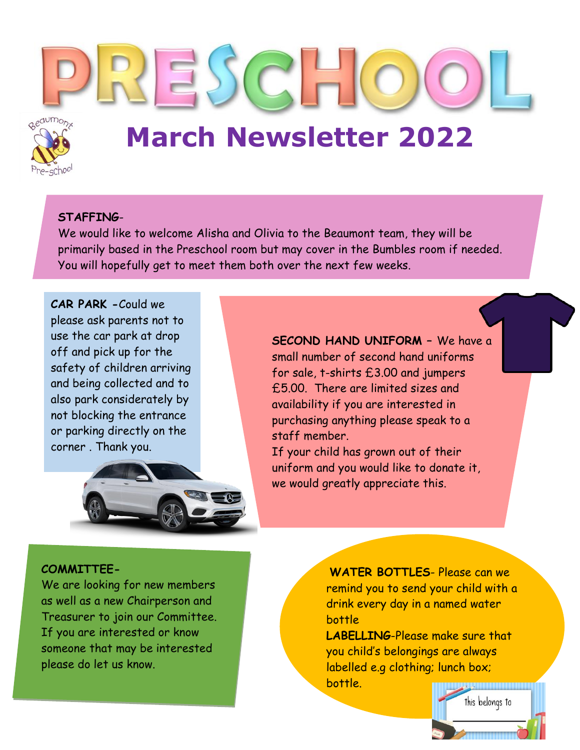

# **March Newsletter 2022**

## **STAFFING**-

We would like to welcome Alisha and Olivia to the Beaumont team, they will be primarily based in the Preschool room but may cover in the Bumbles room if needed. You will hopefully get to meet them both over the next few weeks.

**CAR PARK -**Could we please ask parents not to use the car park at drop off and pick up for the safety of children arriving and being collected and to also park considerately by not blocking the entrance or parking directly on the corner . Thank you.



**SECOND HAND UNIFORM –** We have a small number of second hand uniforms for sale, t-shirts £3.00 and jumpers £5.00. There are limited sizes and availability if you are interested in purchasing anything please speak to a staff member.

If your child has grown out of their uniform and you would like to donate it, we would greatly appreciate this.

## **COMMITTEE-**

We are looking for new members as well as a new Chairperson and Treasurer to join our Committee. If you are interested or know someone that may be interested please do let us know.

**WATER BOTTLES**- Please can we remind you to send your child with a drink every day in a named water bottle

**LABELLING**-Please make sure that you child's belongings are always labelled e.g clothing; lunch box; bottle.

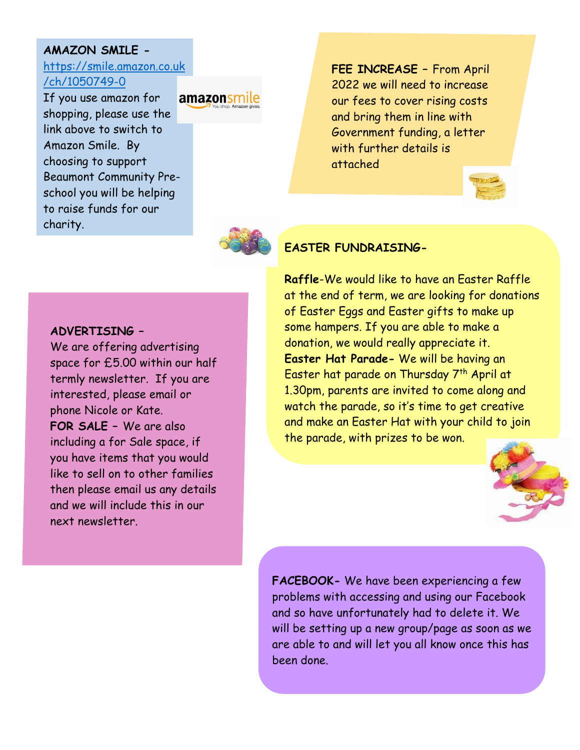## **AMAZON SMILE -**

## [https://smile.amazon.co.uk](https://smile.amazon.co.uk/ch/1050749-0) [/ch/1050749-0](https://smile.amazon.co.uk/ch/1050749-0)

If you use amazon for shopping, please use the link above to switch to Amazon Smile. By choosing to support Beaumont Community Preschool you will be helping to raise funds for our charity.

amazonsmile

**FEE INCREASE –** From April 2022 we will need to increase our fees to cover rising costs and bring them in line with Government funding, a letter with further details is attached





## **EASTER FUNDRAISING-**

#### **ADVERTISING –**

We are offering advertising space for £5.00 within our half termly newsletter. If you are interested, please email or phone Nicole or Kate. **FOR SALE –** We are also including a for Sale space, if you have items that you would like to sell on to other families then please email us any details and we will include this in our next newsletter.

**Raffle**-We would like to have an Easter Raffle at the end of term, we are looking for donations of Easter Eggs and Easter gifts to make up some hampers. If you are able to make a donation, we would really appreciate it. **Easter Hat Parade-** We will be having an Easter hat parade on Thursday 7<sup>th</sup> April at 1.30pm, parents are invited to come along and watch the parade, so it's time to get creative and make an Easter Hat with your child to join the parade, with prizes to be won.



**FACEBOOK-** We have been experiencing a few problems with accessing and using our Facebook and so have unfortunately had to delete it. We will be setting up a new group/page as soon as we are able to and will let you all know once this has been done.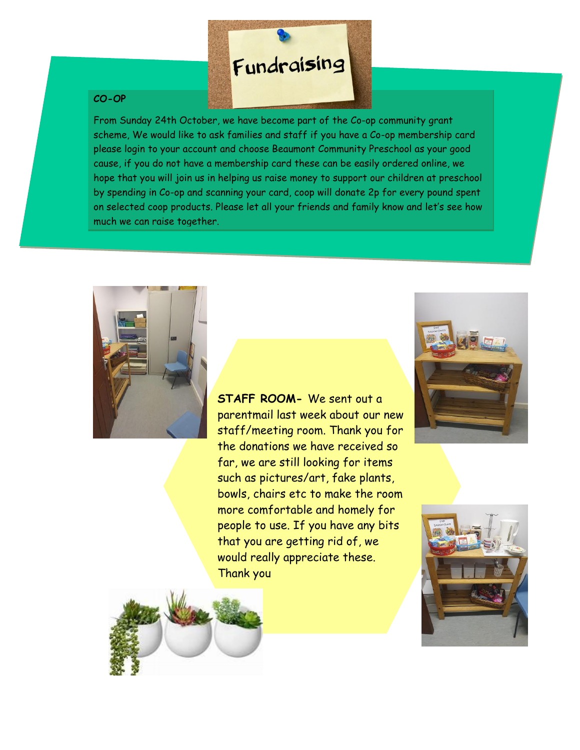## Fundraising

#### **CO-OP**

From Sunday 24th October, we have become part of the Co-op community grant scheme, We would like to ask families and staff if you have a Co-op membership card please login to your account and choose Beaumont Community Preschool as your good cause, if you do not have a membership card these can be easily ordered online, we hope that you will join us in helping us raise money to support our children at preschool by spending in Co-op and scanning your card, coop will donate 2p for every pound spent on selected coop products. Please let all your friends and family know and let's see how much we can raise together.



**STAFF ROOM-** We sent out a parentmail last week about our new staff/meeting room. Thank you for the donations we have received so far, we are still looking for items such as pictures/art, fake plants, bowls, chairs etc to make the room more comfortable and homely for people to use. If you have any bits that you are getting rid of, we would really appreciate these. Thank you





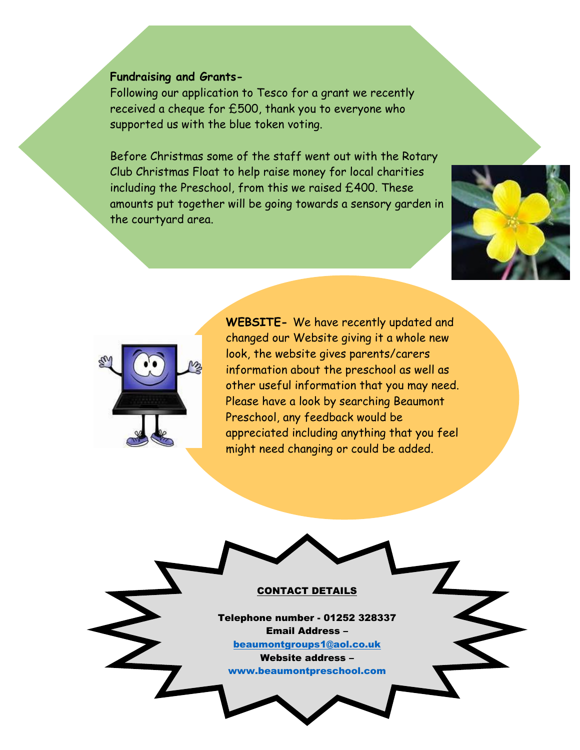#### **Fundraising and Grants-**

Following our application to Tesco for a grant we recently received a cheque for £500, thank you to everyone who supported us with the blue token voting.

Before Christmas some of the staff went out with the Rotary Club Christmas Float to help raise money for local charities including the Preschool, from this we raised £400. These amounts put together will be going towards a sensory garden in the courtyard area.





**WEBSITE-** We have recently updated and changed our Website giving it a whole new look, the website gives parents/carers information about the preschool as well as other useful information that you may need. Please have a look by searching Beaumont Preschool, any feedback would be appreciated including anything that you feel might need changing or could be added.